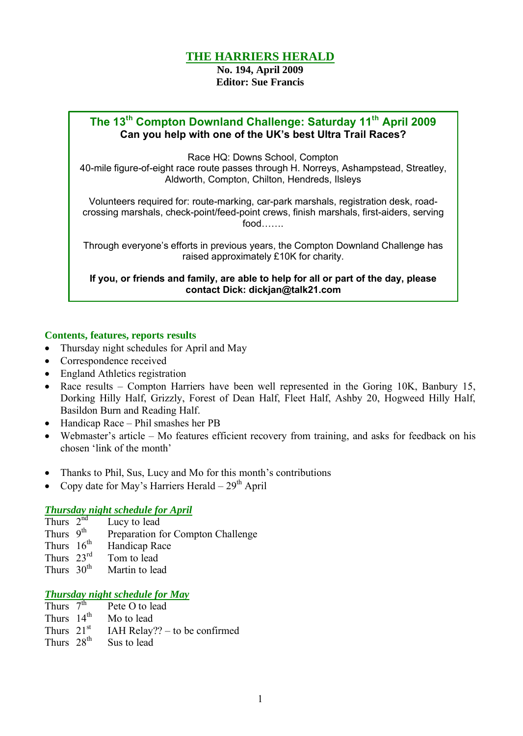# **THE HARRIERS HERALD**

**No. 194, April 2009 Editor: Sue Francis**

# **The 13th Compton Downland Challenge: Saturday 11th April 2009 Can you help with one of the UK's best Ultra Trail Races?**

Race HQ: Downs School, Compton

40-mile figure-of-eight race route passes through H. Norreys, Ashampstead, Streatley, Aldworth, Compton, Chilton, Hendreds, Ilsleys

Volunteers required for: route-marking, car-park marshals, registration desk, roadcrossing marshals, check-point/feed-point crews, finish marshals, first-aiders, serving food…….

Through everyone's efforts in previous years, the Compton Downland Challenge has raised approximately £10K for charity.

**If you, or friends and family, are able to help for all or part of the day, please contact Dick: dickjan@talk21.com**

### **Contents, features, reports results**

- Thursday night schedules for April and May
- Correspondence received
- England Athletics registration
- Race results Compton Harriers have been well represented in the Goring 10K, Banbury 15, Dorking Hilly Half, Grizzly, Forest of Dean Half, Fleet Half, Ashby 20, Hogweed Hilly Half, Basildon Burn and Reading Half.
- Handicap Race Phil smashes her PB
- Webmaster's article Mo features efficient recovery from training, and asks for feedback on his chosen 'link of the month'
- Thanks to Phil, Sus, Lucy and Mo for this month's contributions
- Copy date for May's Harriers Herald  $29<sup>th</sup>$  April

#### *Thursday night schedule for April*

- Thurs  $2<sup>nd</sup>$ Lucy to lead
- Thurs  $9^{th}$ <br>Thurs  $16^{th}$ Preparation for Compton Challenge
- Handicap Race
- Thurs  $23^{\text{rd}}$  Tom to lead<br>Thurs  $30^{\text{th}}$  Martin to lea
- Martin to lead

## *Thursday night schedule for May*

- Thurs  $7<sup>th</sup>$ Pete O to lead Thurs 14<sup>th</sup> Mo to lead Thurs  $21<sup>st</sup>$ IAH Relay??  $-$  to be confirmed
- Thurs 28<sup>th</sup> Sus to lead
-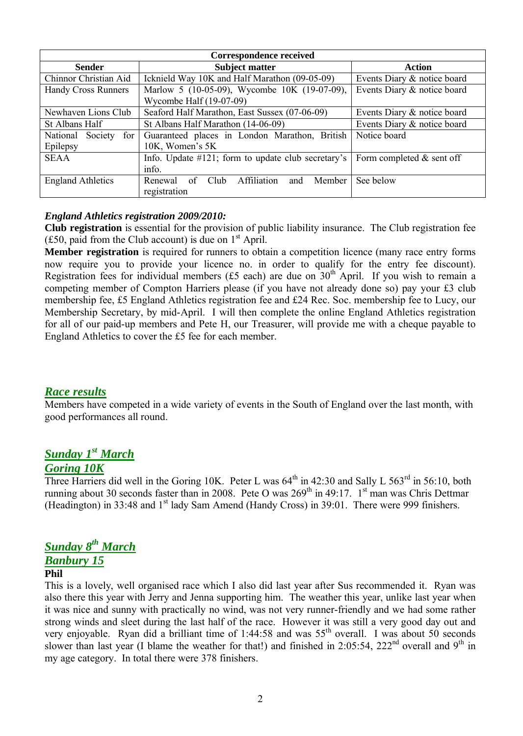| <b>Correspondence received</b> |                                                        |                             |  |  |  |  |  |
|--------------------------------|--------------------------------------------------------|-----------------------------|--|--|--|--|--|
| <b>Sender</b>                  | <b>Subject matter</b>                                  | <b>Action</b>               |  |  |  |  |  |
| Chinnor Christian Aid          | Icknield Way 10K and Half Marathon (09-05-09)          | Events Diary & notice board |  |  |  |  |  |
| <b>Handy Cross Runners</b>     | Marlow 5 (10-05-09), Wycombe 10K (19-07-09),           | Events Diary & notice board |  |  |  |  |  |
|                                |                                                        |                             |  |  |  |  |  |
| Newhaven Lions Club            | Seaford Half Marathon, East Sussex (07-06-09)          | Events Diary & notice board |  |  |  |  |  |
| St Albans Half                 | St Albans Half Marathon (14-06-09)                     | Events Diary & notice board |  |  |  |  |  |
| National Society<br>for        | Guaranteed places in London Marathon, British          | Notice board                |  |  |  |  |  |
| Epilepsy                       | 10K, Women's 5K                                        |                             |  |  |  |  |  |
| <b>SEAA</b>                    | Info. Update $\#121$ ; form to update club secretary's | Form completed $&$ sent off |  |  |  |  |  |
|                                |                                                        |                             |  |  |  |  |  |
| <b>England Athletics</b>       | Affiliation<br>of<br>Club<br>Renewal<br>and<br>Member  | See below                   |  |  |  |  |  |
|                                | registration                                           |                             |  |  |  |  |  |

### *England Athletics registration 2009/2010:*

**Club registration** is essential for the provision of public liability insurance. The Club registration fee (£50, paid from the Club account) is due on  $1<sup>st</sup>$  April.

**Member registration** is required for runners to obtain a competition licence (many race entry forms now require you to provide your licence no. in order to qualify for the entry fee discount). Registration fees for individual members  $(f5 \text{ each})$  are due on  $30^{\text{th}}$  April. If you wish to remain a competing member of Compton Harriers please (if you have not already done so) pay your £3 club membership fee, É5 England Athletics registration fee and É24 Rec. Soc. membership fee to Lucy, our Membership Secretary, by mid-April. I will then complete the online England Athletics registration for all of our paid-up members and Pete H, our Treasurer, will provide me with a cheque payable to England Athletics to cover the É5 fee for each member.

### *Race results*

Members have competed in a wide variety of events in the South of England over the last month, with good performances all round.

# *Sunday 1 st March*

### *Goring 10K*

Three Harriers did well in the Goring 10K. Peter L was  $64<sup>th</sup>$  in 42:30 and Sally L 563<sup>rd</sup> in 56:10, both running about 30 seconds faster than in 2008. Pete O was  $269<sup>th</sup>$  in 49:17. 1<sup>st</sup> man was Chris Dettmar (Headington) in 33:48 and 1<sup>st</sup> lady Sam Amend (Handy Cross) in 39:01. There were 999 finishers.

# *Sunday 8 th March*

# *Banbury 15*

# **Phil**

This is a lovely, well organised race which I also did last year after Sus recommended it. Ryan was also there this year with Jerry and Jenna supporting him. The weather this year, unlike last year when it was nice and sunny with practically no wind, was not very runner-friendly and we had some rather strong winds and sleet during the last half of the race. However it was still a very good day out and very enjoyable. Ryan did a brilliant time of 1:44:58 and was 55<sup>th</sup> overall. I was about 50 seconds slower than last year (I blame the weather for that!) and finished in 2:05:54, 222<sup>nd</sup> overall and 9<sup>th</sup> in my age category. In total there were 378 finishers.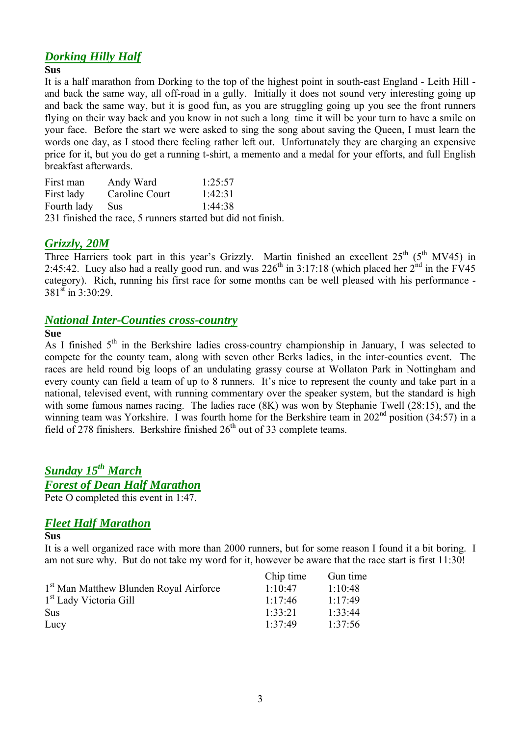# *Dorking Hilly Half*

#### **Sus**

It is a half marathon from Dorking to the top of the highest point in south-east England - Leith Hill and back the same way, all off-road in a gully. Initially it does not sound very interesting going up and back the same way, but it is good fun, as you are struggling going up you see the front runners flying on their way back and you know in not such a long time it will be your turn to have a smile on your face. Before the start we were asked to sing the song about saving the Queen, I must learn the words one day, as I stood there feeling rather left out. Unfortunately they are charging an expensive price for it, but you do get a running t-shirt, a memento and a medal for your efforts, and full English breakfast afterwards.

| First man   | Andy Ward                                                    | 1:25:57 |
|-------------|--------------------------------------------------------------|---------|
| First lady  | Caroline Court                                               | 1:42:31 |
| Fourth lady | <b>Sus</b>                                                   | 1.44.38 |
|             | 231 finished the race, 5 runners started but did not finish. |         |

## *Grizzly, 20M*

Three Harriers took part in this year's Grizzly. Martin finished an excellent  $25<sup>th</sup> (5<sup>th</sup> MV45)$  in 2:45:42. Lucy also had a really good run, and was  $226<sup>th</sup>$  in 3:17:18 (which placed her  $2<sup>hd</sup>$  in the FV45 category). Rich, running his first race for some months can be well pleased with his performance -  $381^{\text{st}}$  in  $3:30:29$ .

## *National Inter-Counties cross-country*

#### **Sue**

As I finished  $5<sup>th</sup>$  in the Berkshire ladies cross-country championship in January, I was selected to compete for the county team, along with seven other Berks ladies, in the inter-counties event. The races are held round big loops of an undulating grassy course at Wollaton Park in Nottingham and every county can field a team of up to 8 runners. It's nice to represent the county and take part in a national, televised event, with running commentary over the speaker system, but the standard is high with some famous names racing. The ladies race (8K) was won by Stephanie Twell (28:15), and the winning team was Yorkshire. I was fourth home for the Berkshire team in 202<sup>nd</sup> position (34:57) in a field of 278 finishers. Berkshire finished 26th out of 33 complete teams.

# *Sunday 15th March Forest of Dean Half Marathon*

Pete O completed this event in 1:47.

## *Fleet Half Marathon*

#### **Sus**

It is a well organized race with more than 2000 runners, but for some reason I found it a bit boring. I am not sure why. But do not take my word for it, however be aware that the race start is first 11:30!

|                                                    | Chip time | Gun time    |
|----------------------------------------------------|-----------|-------------|
| 1 <sup>st</sup> Man Matthew Blunden Royal Airforce | 1.10.47   | $1.10 - 48$ |
| 1 <sup>st</sup> Lady Victoria Gill                 | 1.17.46   | 1.17.49     |
| <b>Sus</b>                                         | 1.33.21   | 1.33.44     |
| Lucy                                               | 1:37:49   | 1.37.56     |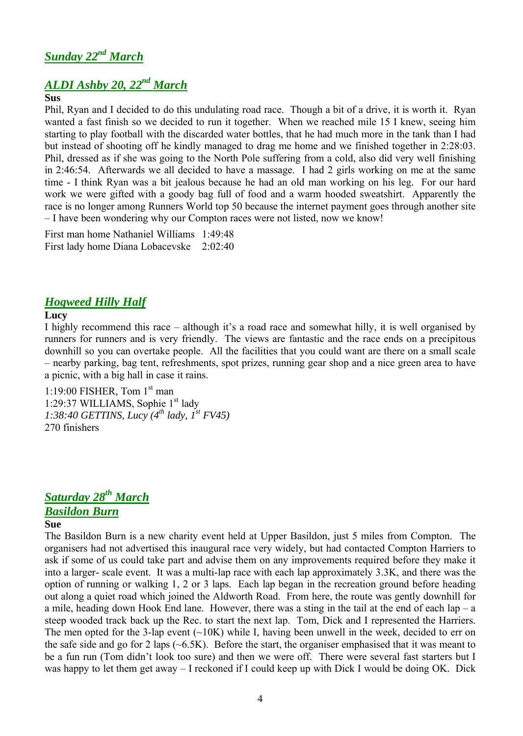# *ALDI Ashby 20, 22nd March*

#### **Sus**

Phil, Ryan and I decided to do this undulating road race. Though a bit of a drive, it is worth it. Ryan wanted a fast finish so we decided to run it together. When we reached mile 15 I knew, seeing him starting to play football with the discarded water bottles, that he had much more in the tank than I had but instead of shooting off he kindly managed to drag me home and we finished together in 2:28:03. Phil, dressed as if she was going to the North Pole suffering from a cold, also did very well finishing in 2:46:54. Afterwards we all decided to have a massage. I had 2 girls working on me at the same time - I think Ryan was a bit jealous because he had an old man working on his leg. For our hard work we were gifted with a goody bag full of food and a warm hooded sweatshirt. Apparently the race is no longer among Runners World top 50 because the internet payment goes through another site – I have been wondering why our Compton races were not listed, now we know!

First man home Nathaniel Williams 1:49:48 First lady home Diana Lobacevske 2:02:40

# *Hogweed Hilly Half*

## **Lucy**

I highly recommend this race – although it's a road race and somewhat hilly, it is well organised by runners for runners and is very friendly. The views are fantastic and the race ends on a precipitous downhill so you can overtake people. All the facilities that you could want are there on a small scale – nearby parking, bag tent, refreshments, spot prizes, running gear shop and a nice green area to have a picnic, with a big hall in case it rains.

1:19:00 FISHER, Tom 1<sup>st</sup> man 1:29:37 WILLIAMS, Sophie 1st lady *1:38:40 GETTINS, Lucy (4th lady, 1 st FV45)* 270 finishers

# *Saturday 28th March Basildon Burn*

#### **Sue**

The Basildon Burn is a new charity event held at Upper Basildon, just 5 miles from Compton. The organisers had not advertised this inaugural race very widely, but had contacted Compton Harriers to ask if some of us could take part and advise them on any improvements required before they make it into a larger- scale event. It was a multi-lap race with each lap approximately 3.3K, and there was the option of running or walking 1, 2 or 3 laps. Each lap began in the recreation ground before heading out along a quiet road which joined the Aldworth Road. From here, the route was gently downhill for a mile, heading down Hook End lane. However, there was a sting in the tail at the end of each lap – a steep wooded track back up the Rec. to start the next lap. Tom, Dick and I represented the Harriers. The men opted for the 3-lap event  $(\sim 10K)$  while I, having been unwell in the week, decided to err on the safe side and go for 2 laps  $(\sim 6.5K)$ . Before the start, the organiser emphasised that it was meant to be a fun run (Tom didn't look too sure) and then we were off. There were several fast starters but I was happy to let them get away – I reckoned if I could keep up with Dick I would be doing OK. Dick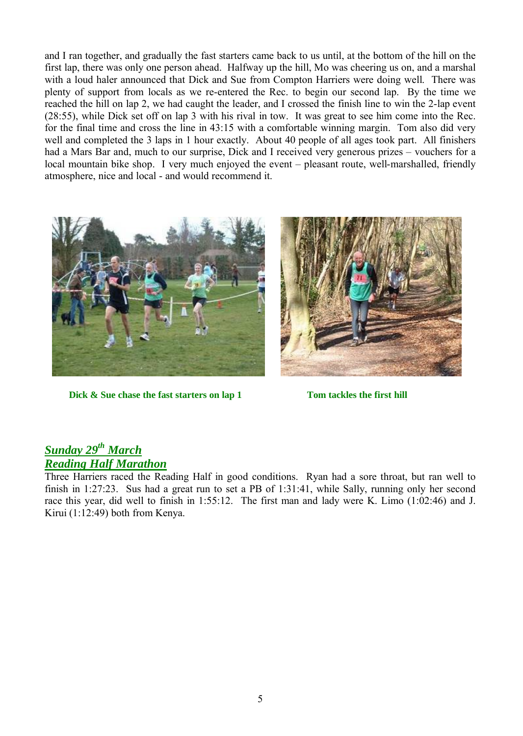and I ran together, and gradually the fast starters came back to us until, at the bottom of the hill on the first lap, there was only one person ahead. Halfway up the hill, Mo was cheering us on, and a marshal with a loud haler announced that Dick and Sue from Compton Harriers were doing well. There was plenty of support from locals as we re-entered the Rec. to begin our second lap. By the time we reached the hill on lap 2, we had caught the leader, and I crossed the finish line to win the 2-lap event (28:55), while Dick set off on lap 3 with his rival in tow. It was great to see him come into the Rec. for the final time and cross the line in 43:15 with a comfortable winning margin. Tom also did very well and completed the 3 laps in 1 hour exactly. About 40 people of all ages took part. All finishers had a Mars Bar and, much to our surprise, Dick and I received very generous prizes – vouchers for a local mountain bike shop. I very much enjoyed the event – pleasant route, well-marshalled, friendly atmosphere, nice and local - and would recommend it.



**Dick & Sue chase the fast starters on lap 1 Tom tackles the first hill** 



# *Sunday 29th March Reading Half Marathon*

Three Harriers raced the Reading Half in good conditions. Ryan had a sore throat, but ran well to finish in 1:27:23. Sus had a great run to set a PB of 1:31:41, while Sally, running only her second race this year, did well to finish in 1:55:12. The first man and lady were K. Limo (1:02:46) and J. Kirui (1:12:49) both from Kenya.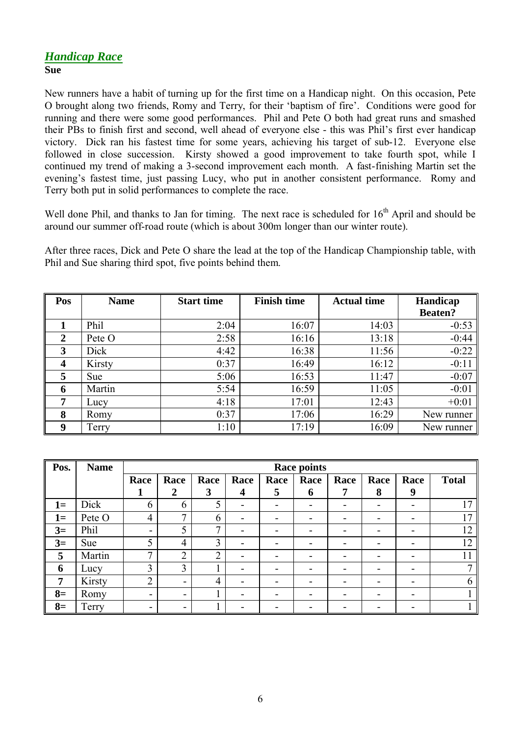## *Handicap Race* **Sue**

New runners have a habit of turning up for the first time on a Handicap night. On this occasion, Pete O brought along two friends, Romy and Terry, for their 'baptism of fire'. Conditions were good for running and there were some good performances. Phil and Pete O both had great runs and smashed their PBs to finish first and second, well ahead of everyone else - this was Phil's first ever handicap victory. Dick ran his fastest time for some years, achieving his target of sub-12. Everyone else followed in close succession. Kirsty showed a good improvement to take fourth spot, while I continued my trend of making a 3-second improvement each month. A fast-finishing Martin set the evening's fastest time, just passing Lucy, who put in another consistent performance. Romy and Terry both put in solid performances to complete the race.

Well done Phil, and thanks to Jan for timing. The next race is scheduled for 16<sup>th</sup> April and should be around our summer off-road route (which is about 300m longer than our winter route).

After three races, Dick and Pete O share the lead at the top of the Handicap Championship table, with Phil and Sue sharing third spot, five points behind them.

| Pos                     | <b>Name</b> | <b>Start time</b> | <b>Finish time</b> | <b>Actual time</b> |                |
|-------------------------|-------------|-------------------|--------------------|--------------------|----------------|
|                         |             |                   |                    |                    | <b>Beaten?</b> |
|                         | Phil        | 2:04              | 16:07              | 14:03              | $-0:53$        |
| 2                       | Pete O      | 2:58              | 16:16              | 13:18              | $-0:44$        |
| 3                       | Dick        | 4:42              | 16:38              | 11:56              | $-0:22$        |
| $\overline{\mathbf{4}}$ | Kirsty      | 0:37              | 16:49              | 16:12              | $-0:11$        |
| 5                       | <b>Sue</b>  | 5:06              | 16:53              | 11:47              | $-0:07$        |
| 6                       | Martin      | 5:54              | 16:59              | 11:05              | $-0:01$        |
| 7                       | Lucy        | 4:18              | 17:01              | 12:43              | $+0:01$        |
| 8                       | Romy        | 0:37              | 17:06              | 16:29              | New runner     |
| <b>Q</b>                | Terry       | 1:10              | 17:19              | 16:09              | New runner     |

| Pos.           | <b>Name</b> | <b>Race points</b> |                          |      |                          |      |      |      |                          |      |              |
|----------------|-------------|--------------------|--------------------------|------|--------------------------|------|------|------|--------------------------|------|--------------|
|                |             | Race               | Race                     | Race | Race                     | Race | Race | Race | Race                     | Race | <b>Total</b> |
|                |             | л                  | $\mathbf 2$              | 3    | 4                        | 5    | 6    | 7    | 8                        | 9    |              |
| $1 =$          | Dick        | 6                  | 6                        | 5    | -                        |      |      |      | -                        | -    | 17           |
| $1 =$          | Pete O      | $\overline{4}$     | 7                        | 6    | $\overline{\phantom{0}}$ |      | -    | -    | $\overline{\phantom{a}}$ | -    | 17           |
| $3=$           | Phil        | -                  | 5                        | 7    | -                        |      |      |      | $\overline{\phantom{0}}$ | -    | 12           |
| $3=$           | Sue         | 5                  | 4                        | 3    | ۰                        |      |      |      | $\overline{\phantom{0}}$ | -    | 12           |
| 5              | Martin      | 7                  | $\overline{2}$           | C    | -                        |      |      |      | $\overline{\phantom{0}}$ | -    |              |
| 6              | Lucy        | 3                  | 3                        |      |                          |      |      |      | $\overline{\phantom{0}}$ | -    |              |
| $\overline{7}$ | Kirsty      | $\overline{2}$     | $\blacksquare$           | 4    |                          |      |      |      |                          | -    | 6            |
| $8=$           | Romy        | ۰.                 | $\blacksquare$           |      |                          |      |      |      |                          | -    |              |
| $8=$           | Terry       | -                  | $\overline{\phantom{a}}$ |      |                          |      |      |      |                          |      |              |